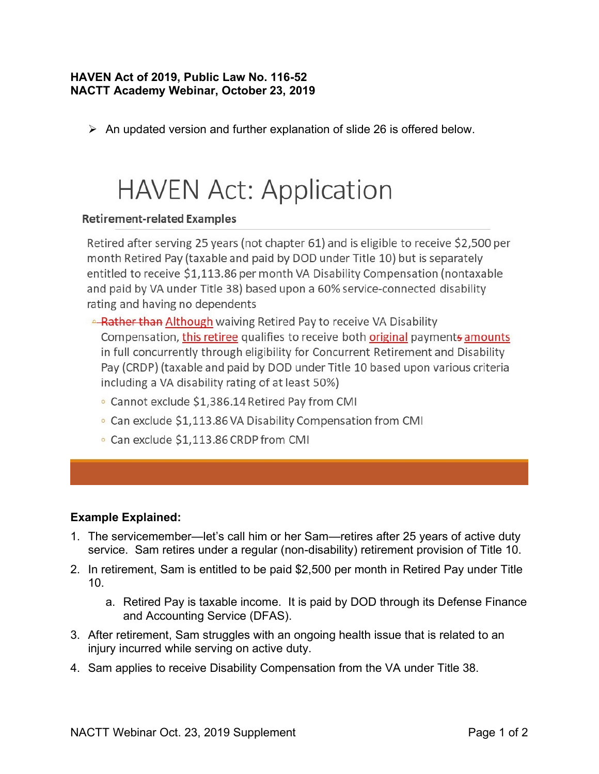## **HAVEN Act of 2019, Public Law No. 116-52 NACTT Academy Webinar, October 23, 2019**

➢ An updated version and further explanation of slide 26 is offered below.

## **HAVEN Act: Application**

## **Retirement-related Examples**

Retired after serving 25 years (not chapter 61) and is eligible to receive \$2,500 per month Retired Pay (taxable and paid by DOD under Title 10) but is separately entitled to receive \$1,113.86 per month VA Disability Compensation (nontaxable and paid by VA under Title 38) based upon a 60% service-connected disability rating and having no dependents

**ARAULE: A PARAULE A PARAULE A PAY A PARAULE A PARAULE A PARAULE A PARAULE A PARAULE A PARAULE PARAULE PARAULE A** Compensation, this retiree qualifies to receive both original payments amounts in full concurrently through eligibility for Concurrent Retirement and Disability Pay (CRDP) (taxable and paid by DOD under Title 10 based upon various criteria including a VA disability rating of at least 50%)

- Cannot exclude \$1,386.14 Retired Pay from CMI
- Can exclude \$1,113.86 VA Disability Compensation from CMI
- Can exclude \$1,113.86 CRDP from CMI

## **Example Explained:**

- 1. The servicemember—let's call him or her Sam—retires after 25 years of active duty service. Sam retires under a regular (non-disability) retirement provision of Title 10.
- 2. In retirement, Sam is entitled to be paid \$2,500 per month in Retired Pay under Title 10.
	- a. Retired Pay is taxable income. It is paid by DOD through its Defense Finance and Accounting Service (DFAS).
- 3. After retirement, Sam struggles with an ongoing health issue that is related to an injury incurred while serving on active duty.
- 4. Sam applies to receive Disability Compensation from the VA under Title 38.